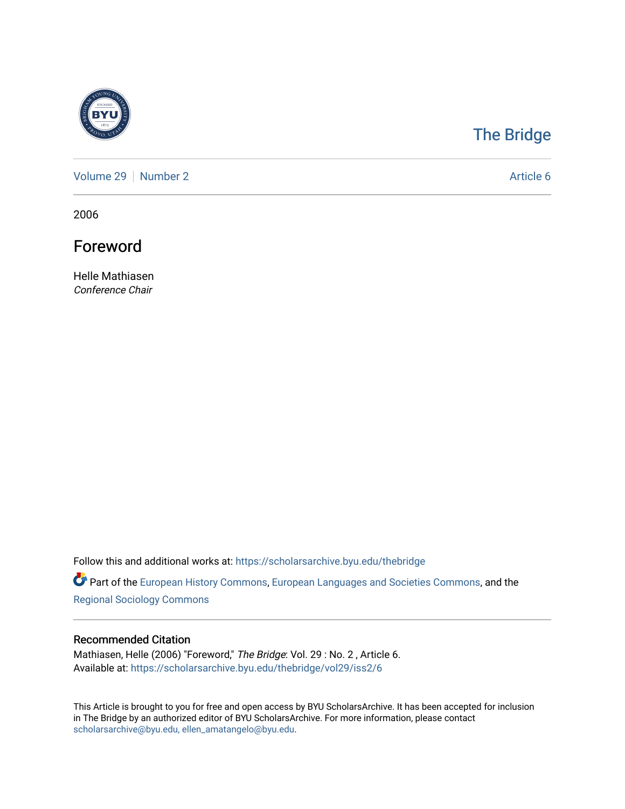

## [The Bridge](https://scholarsarchive.byu.edu/thebridge)

[Volume 29](https://scholarsarchive.byu.edu/thebridge/vol29) | [Number 2](https://scholarsarchive.byu.edu/thebridge/vol29/iss2) Article 6

2006

Foreword

Helle Mathiasen Conference Chair

Follow this and additional works at: [https://scholarsarchive.byu.edu/thebridge](https://scholarsarchive.byu.edu/thebridge?utm_source=scholarsarchive.byu.edu%2Fthebridge%2Fvol29%2Fiss2%2F6&utm_medium=PDF&utm_campaign=PDFCoverPages) 

**Part of the [European History Commons](http://network.bepress.com/hgg/discipline/492?utm_source=scholarsarchive.byu.edu%2Fthebridge%2Fvol29%2Fiss2%2F6&utm_medium=PDF&utm_campaign=PDFCoverPages), [European Languages and Societies Commons,](http://network.bepress.com/hgg/discipline/482?utm_source=scholarsarchive.byu.edu%2Fthebridge%2Fvol29%2Fiss2%2F6&utm_medium=PDF&utm_campaign=PDFCoverPages) and the** [Regional Sociology Commons](http://network.bepress.com/hgg/discipline/427?utm_source=scholarsarchive.byu.edu%2Fthebridge%2Fvol29%2Fiss2%2F6&utm_medium=PDF&utm_campaign=PDFCoverPages) 

## Recommended Citation

Mathiasen, Helle (2006) "Foreword," The Bridge: Vol. 29 : No. 2 , Article 6. Available at: [https://scholarsarchive.byu.edu/thebridge/vol29/iss2/6](https://scholarsarchive.byu.edu/thebridge/vol29/iss2/6?utm_source=scholarsarchive.byu.edu%2Fthebridge%2Fvol29%2Fiss2%2F6&utm_medium=PDF&utm_campaign=PDFCoverPages) 

This Article is brought to you for free and open access by BYU ScholarsArchive. It has been accepted for inclusion in The Bridge by an authorized editor of BYU ScholarsArchive. For more information, please contact [scholarsarchive@byu.edu, ellen\\_amatangelo@byu.edu](mailto:scholarsarchive@byu.edu,%20ellen_amatangelo@byu.edu).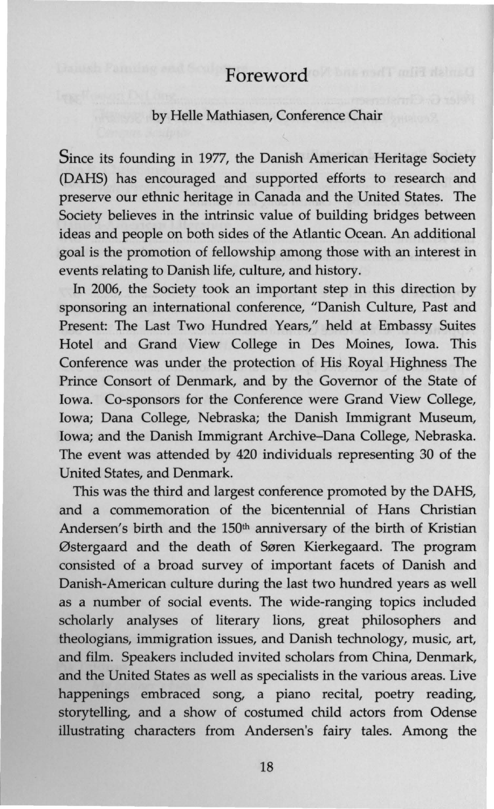## Foreword

## by Helle Mathiasen, Conference Chair

Since its founding in 1977, the Danish American Heritage Society (DAHS) has encouraged and supported efforts to research and preserve our ethnic heritage in Canada and the United States. The Society believes in the intrinsic value of building bridges between ideas and people on both sides of the Atlantic Ocean. An additional goal is the promotion of fellowship among those with an interest in events relating to Danish life, culture, and history.

In 2006, the Society took an important step in this direction by sponsoring an international conference, "Danish Culture, Past and Present: The Last Two Hundred Years," held at Embassy Suites Hotel and Grand View College in Des Moines, Iowa. This Conference was under the protection of His Royal Highness The Prince Consort of Denmark, and by the Governor of the State of Iowa. Co-sponsors for the Conference were Grand View College, Iowa; Dana College, Nebraska; the Danish Immigrant Museum, Iowa; and the Danish Immigrant Archive-Dana College, Nebraska. The event was attended by 420 individuals representing 30 of the United States, and Denmark.

This was the third and largest conference promoted by the DAHS, and a commemoration of the bicentennial of Hans Christian Andersen's birth and the 150<sup>th</sup> anniversary of the birth of Kristian Østergaard and the death of Søren Kierkegaard. The program consisted of a broad survey of important facets of Danish and Danish-American culture during the last two hundred years as well as a number of social events. The wide-ranging topics included scholarly analyses of literary lions, great philosophers and theologians, immigration issues, and Danish technology, music, art, and film. Speakers included invited scholars from China, Denmark, and the United States as well as specialists in the various areas. Live happenings embraced song, a piano recital, poetry reading, storytelling, and a show of costumed child actors from Odense illustrating characters from Andersen's fairy tales. Among the